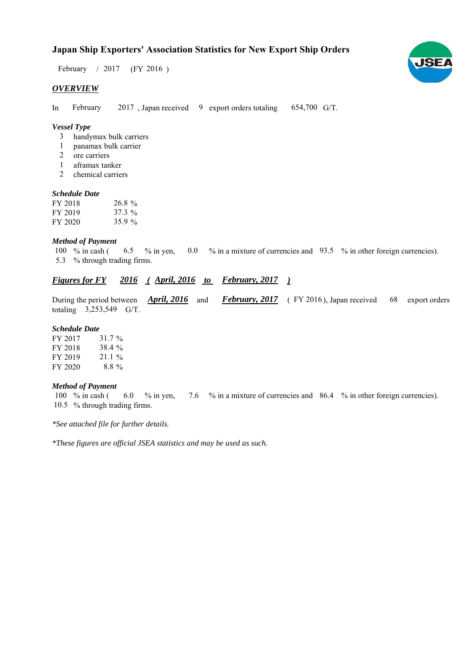# **Japan Ship Exporters' Association Statistics for New Export Ship Orders**

February / 2017 (FY 2016)

## *OVERVIEW*

In February 2017, Japan received 9 export orders totaling 654,700 G/T. February

## *Vessel Type*

- handymax bulk carriers 3
- panamax bulk carrier 1
- ore carriers 2
- aframax tanker 1
- chemical carriers 2

#### *Schedule Date*

| FY 2018 | $26.8\%$ |
|---------|----------|
| FY 2019 | $37.3\%$ |
| FY 2020 | 35.9%    |

#### *Method of Payment*

% in cash ( $\qquad 6.5 \qquad$ % in yen,  $\qquad 0.0 \qquad$ % in a mixture of currencies and  $\qquad 93.5 \qquad$ % in other foreign currencies). % through trading firms. 5.3 6.5 100  $%$  in cash (

## *<u>Figures for FY</u>* 2016 (April, 2016 to February, 2017)

During the period between *April, 2016* and *February, 2017* (FY 2016), Japan received 68 export orders totaling  $3,253,549$  G/T. **February, 2017** (FY 2016), Japan received 68

#### *Schedule Date*

| FY 2017 | 31.7 %   |
|---------|----------|
| FY 2018 | 38.4%    |
| FY 2019 | $21.1\%$ |
| FY 2020 | $8.8\%$  |

#### *Method of Payment*

% in cash ( $\qquad 6.0 \quad$  % in yen,  $\qquad 7.6 \quad$  % in a mixture of currencies and  $\qquad 86.4 \quad$  % in other foreign currencies). 10.5 % through trading firms. 100  $\%$  in cash (6.0  $\%$  in yen,

*\*See attached file for further details.*

*\*These figures are official JSEA statistics and may be used as such.*

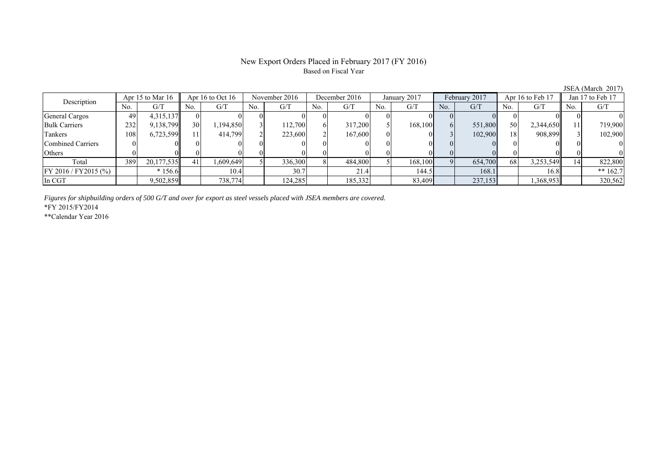## New Export Orders Placed in February 2017 (FY 2016) Based on Fiscal Year

JSEA (March 2017)<br>Jan 17 to Feb 17 No. G/T No. G/T No. G/T No. G/T No. G/T No. G/T No. G/T No. G/T General Cargos 49 4,315,137 0 0 0 0 0 0 0 0 0 0 0 0 0 0 Bulk Carriers 1 232 9,138,799 30 1,194,850 3 112,700 6 317,200 5 168,100 6 551,800 50 2,344,650 11 719,900 Tankers | 108| 6,723,599|| 11| 414,799| 2| 223,600| 2| 167,600| 0| 0| 3| 102,900| 18| 908,899|| 3| 102,900 Combined Carriers 0 0 0 0 0 0 0 0 0 0 0 0 0 0 0 0 Others | 0 | 0 || 0 || 0 || 0 || 0 || 0 || 0 || 0 || 0 || 0 | Total 389 20,177,535 41 1,609,649 5 336,300 8 484,800 5 168,100 9 654,700 68 3,253,549 14 822,800 FY 2016 / FY2015 (%) \* 156.6 10.4 30.7 21.4 144.5 168.1 168.1 16.8 \* 162.7 In CGT | | 9,502,859|| | 738,774| | 124,285| | 185,332| | 83,409| | 237,153| | 1,368,953|| | 320,562 December 2016Description Apr 15 to Mar 16 Apr 16 to Oct 16 November 2016 December 201<br>No. 6/T No. 6/T No. 6/T No. 6/T No. 6/T Apr 16 to Oct 16 November 2016 December 2016 January 2017 February 2017 Apr 16 to Feb 17

*Figures for shipbuilding orders of 500 G/T and over for export as steel vessels placed with JSEA members are covered.*

\*FY 2015/FY2014

\*\*Calendar Year 2016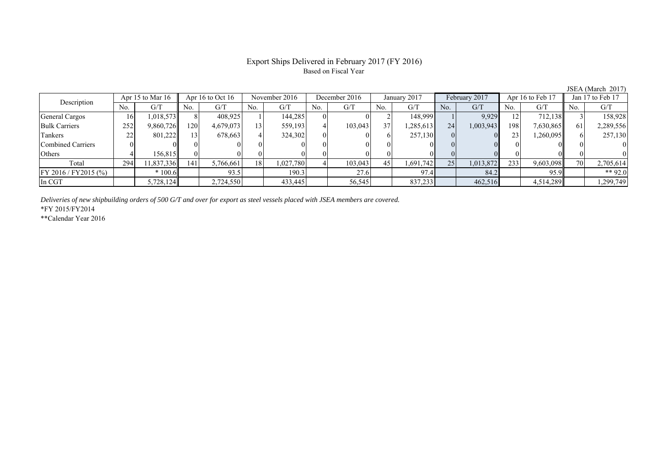# Export Ships Delivered in February 2017 (FY 2016) Based on Fiscal Year

| $50011$ $\ldots$ $10001$ |                                        |            |                 |           |               |           |              |         |               |           |                  |           |                  |           |     |           |
|--------------------------|----------------------------------------|------------|-----------------|-----------|---------------|-----------|--------------|---------|---------------|-----------|------------------|-----------|------------------|-----------|-----|-----------|
| Description              | Apr 16 to Oct 16<br>Apr 15 to Mar $16$ |            | November 2016   |           | December 2016 |           | January 2017 |         | February 2017 |           | Apr 16 to Feb 17 |           | Jan 17 to Feb 17 |           |     |           |
|                          | No.                                    | G/T        | No.             | G/T       | No.           | G/T       | No.          | G/T     | No.           | G/T       | No.              | G/T       | No.              | G/T       | No. | G/T       |
| General Cargos           | 16                                     | 1,018,573  |                 | 408.925   |               | 144,285   |              |         |               | 148,999   |                  | 9,929     |                  | 712,138   |     | 158,928   |
| <b>Bulk Carriers</b>     | 252                                    | 9,860,726  | 120             | 4,679,073 | $^13.$        | 559,193   |              | 103,043 | 37            | 1,285,613 | 24               | 1,003,943 | 198              | 7,630,865 |     | 2,289,556 |
| Tankers                  | 22                                     | 801.2221   | 13 <sub>1</sub> | 678,663   |               | 324,302   |              |         |               | 257,130   |                  |           | 23               | 1,260,095 |     | 257,130   |
| Combined Carriers        |                                        |            |                 |           |               |           |              |         |               |           |                  |           |                  |           |     |           |
| Others                   |                                        | 156.815    |                 |           |               |           |              |         |               |           |                  |           |                  |           |     |           |
| Total                    | 294                                    | 11,837,336 | 141             | 5,766,661 | 18            | 1,027,780 |              | 103,043 | 45            | 1,691,742 | 251              | 1,013,872 | 233              | 9,603,098 | 70  | 2,705,614 |
| FY 2016 / FY 2015 (%)    |                                        | $*100.6$   |                 | 93.5      |               | 190.3     |              | 27.6    |               | 97.4      |                  | 84.2      |                  | 95.9      |     | ** 92.0   |
| In CGT                   |                                        | 5,728,124  |                 | 2,724,550 |               | 433,445   |              | 56,545  |               | 837,233   |                  | 462,516   |                  | 4,514,289 |     | 1,299,749 |

*Deliveries of new shipbuilding orders of 500 G/T and over for export as steel vessels placed with JSEA members are covered.*

\*FY 2015/FY2014

\*\*Calendar Year 2016

JSEA (March 2017)